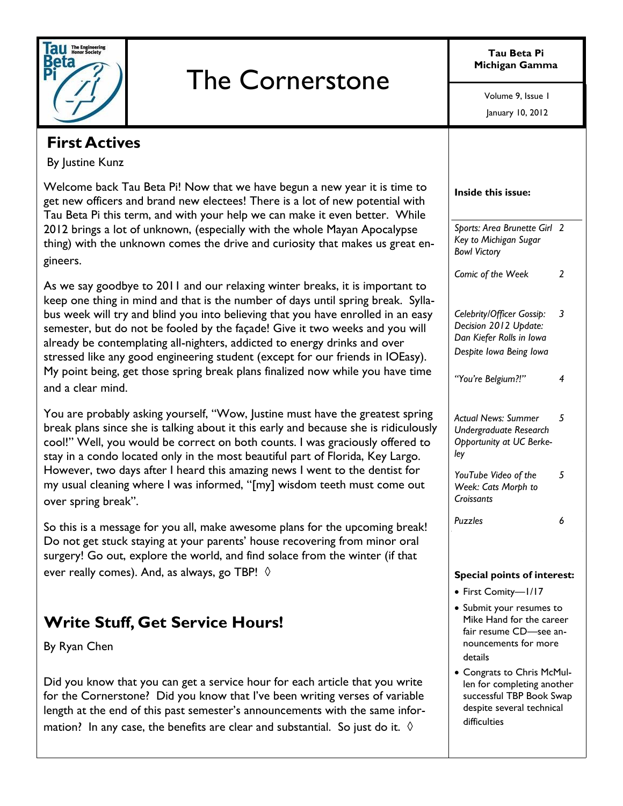

# The Cornerstone

**Tau Beta Pi Michigan Gamma**

January 10, 2012 Volume 9, Issue 1

#### **First Actives**

By Justine Kunz

Welcome back Tau Beta Pi! Now that we have begun a new year it is time to get new officers and brand new electees! There is a lot of new potential with Tau Beta Pi this term, and with your help we can make it even better. While 2012 brings a lot of unknown, (especially with the whole Mayan Apocalypse thing) with the unknown comes the drive and curiosity that makes us great engineers.

As we say goodbye to 2011 and our relaxing winter breaks, it is important to keep one thing in mind and that is the number of days until spring break. Syllabus week will try and blind you into believing that you have enrolled in an easy semester, but do not be fooled by the façade! Give it two weeks and you will already be contemplating all-nighters, addicted to energy drinks and over stressed like any good engineering student (except for our friends in IOEasy). My point being, get those spring break plans finalized now while you have time and a clear mind.

You are probably asking yourself, "Wow, Justine must have the greatest spring break plans since she is talking about it this early and because she is ridiculously cool!" Well, you would be correct on both counts. I was graciously offered to stay in a condo located only in the most beautiful part of Florida, Key Largo. However, two days after I heard this amazing news I went to the dentist for my usual cleaning where I was informed, "[my] wisdom teeth must come out over spring break".

So this is a message for you all, make awesome plans for the upcoming break! Do not get stuck staying at your parents' house recovering from minor oral surgery! Go out, explore the world, and find solace from the winter (if that ever really comes). And, as always, go TBP!  $\Diamond$ 

# **Write Stuff, Get Service Hours!**

By Ryan Chen

Did you know that you can get a service hour for each article that you write for the Cornerstone? Did you know that I've been writing verses of variable length at the end of this past semester's announcements with the same information? In any case, the benefits are clear and substantial. So just do it.  $\Diamond$ 

| Inside this issue:                                                                                              |     |
|-----------------------------------------------------------------------------------------------------------------|-----|
| Sports: Area Brunette Girl<br>Key to Michigan Sugar<br><b>Bowl Victory</b>                                      | - 2 |
| Comic of the Week                                                                                               | 2   |
| Celebrity/Officer Gossip:<br>Decision 2012 Update:<br>Dan Kiefer Rolls in Iowa<br>Despite Iowa Being Iowa       | 3   |
| "You're Belgium?!"                                                                                              | 4   |
| <b>Actual News: Summer</b><br>Undergraduate Research<br>Opportunity at UC Berke-<br>ley                         | 5   |
| YouTube Video of the<br>Week: Cats Morph to<br>Croissants                                                       | 5   |
| Puzzles                                                                                                         | 6   |
| <b>Special points of interest:</b><br>First Comity-I/I7                                                         |     |
| Submit your resumes to<br>Mike Hand for the career<br>fair resume CD-see an-<br>nouncements for more<br>details |     |
| Congrats to Chris McMul-<br>len for completing another                                                          |     |

successful TBP Book Swap despite several technical

difficulties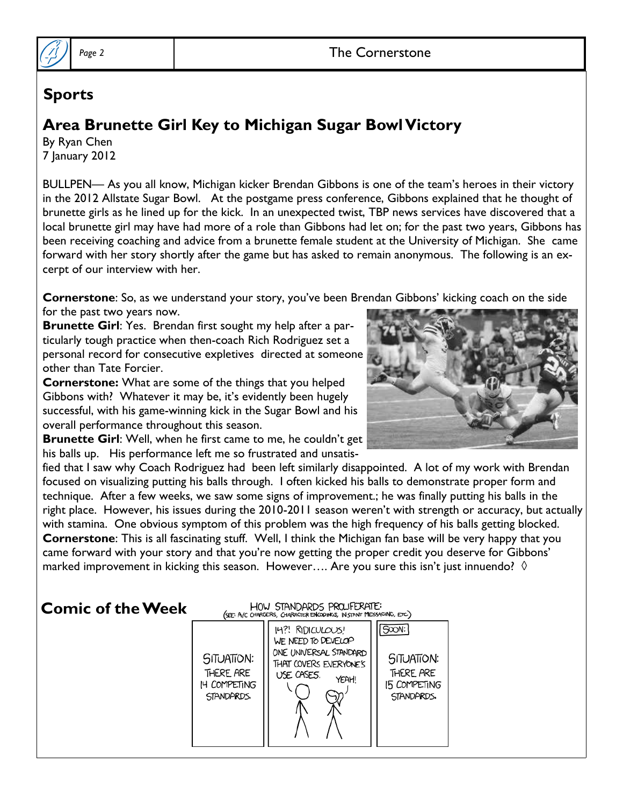

#### **Sports**

# **Area Brunette Girl Key to Michigan Sugar Bowl Victory**

By Ryan Chen 7 January 2012

BULLPEN— As you all know, Michigan kicker Brendan Gibbons is one of the team's heroes in their victory in the 2012 Allstate Sugar Bowl. At the postgame press conference, Gibbons explained that he thought of brunette girls as he lined up for the kick. In an unexpected twist, TBP news services have discovered that a local brunette girl may have had more of a role than Gibbons had let on; for the past two years, Gibbons has been receiving coaching and advice from a brunette female student at the University of Michigan. She came forward with her story shortly after the game but has asked to remain anonymous. The following is an excerpt of our interview with her.

**Cornerstone**: So, as we understand your story, you've been Brendan Gibbons' kicking coach on the side for the past two years now.

**Brunette Girl**: Yes. Brendan first sought my help after a particularly tough practice when then-coach Rich Rodriguez set a personal record for consecutive expletives directed at someone other than Tate Forcier.

**Cornerstone:** What are some of the things that you helped Gibbons with? Whatever it may be, it's evidently been hugely successful, with his game-winning kick in the Sugar Bowl and his overall performance throughout this season.

**Brunette Girl:** Well, when he first came to me, he couldn't get his balls up. His performance left me so frustrated and unsatis-



fied that I saw why Coach Rodriguez had been left similarly disappointed. A lot of my work with Brendan focused on visualizing putting his balls through. I often kicked his balls to demonstrate proper form and technique. After a few weeks, we saw some signs of improvement.; he was finally putting his balls in the right place. However, his issues during the 2010-2011 season weren't with strength or accuracy, but actually with stamina. One obvious symptom of this problem was the high frequency of his balls getting blocked. **Cornerstone**: This is all fascinating stuff. Well, I think the Michigan fan base will be very happy that you came forward with your story and that you're now getting the proper credit you deserve for Gibbons' marked improvement in kicking this season. However.... Are you sure this isn't just innuendo?  $\Diamond$ 

#### **Comic of the Week**

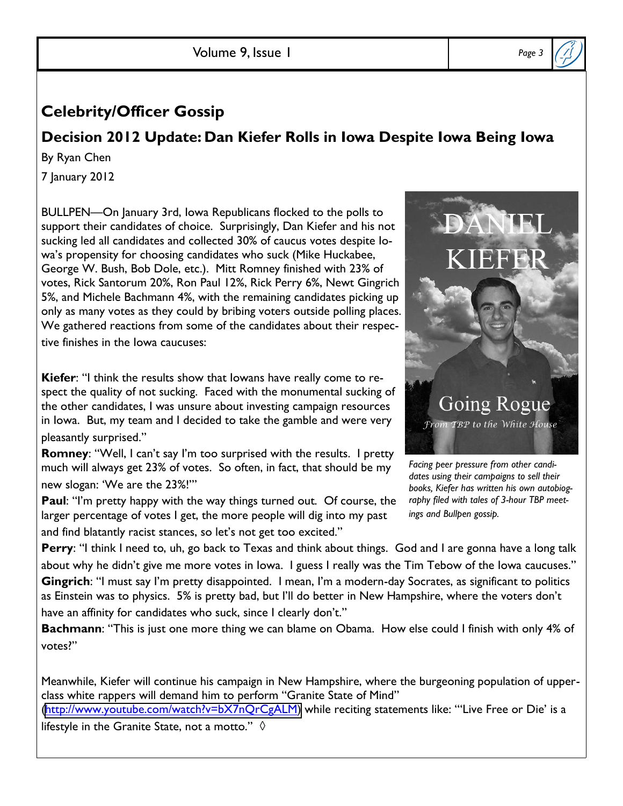Volume 9, Issue 1 *Page 3*

## **Celebrity/Officer Gossip**

#### **Decision 2012 Update: Dan Kiefer Rolls in Iowa Despite Iowa Being Iowa**

By Ryan Chen

7 January 2012

BULLPEN-On January 3rd, Iowa Republicans flocked to the polls to support their candidates of choice. Surprisingly, Dan Kiefer and his not sucking led all candidates and collected 30% of caucus votes despite Iowa's propensity for choosing candidates who suck (Mike Huckabee, George W. Bush, Bob Dole, etc.). Mitt Romney finished with 23% of votes, Rick Santorum 20%, Ron Paul 12%, Rick Perry 6%, Newt Gingrich 5%, and Michele Bachmann 4%, with the remaining candidates picking up only as many votes as they could by bribing voters outside polling places. We gathered reactions from some of the candidates about their respective finishes in the Iowa caucuses:

**Kiefer:** "I think the results show that lowans have really come to respect the quality of not sucking. Faced with the monumental sucking of the other candidates, I was unsure about investing campaign resources in Iowa. But, my team and I decided to take the gamble and were very pleasantly surprised."

**Romney:** "Well, I can't say I'm too surprised with the results. I pretty much will always get 23% of votes. So often, in fact, that should be my new slogan: 'We are the 23%!'"

**Paul**: "I'm pretty happy with the way things turned out. Of course, the larger percentage of votes I get, the more people will dig into my past and find blatantly racist stances, so let's not get too excited."

**Going Rogue** From TBP to the White House

*Facing peer pressure from other candidates using their campaigns to sell their books, Kiefer has written his own autobiography filed with tales of 3-hour TBP meetings and Bullpen gossip.*

**Perry**: "I think I need to, uh, go back to Texas and think about things. God and I are gonna have a long talk about why he didn't give me more votes in lowa. I guess I really was the Tim Tebow of the lowa caucuses." **Gingrich**: "I must say I'm pretty disappointed. I mean, I'm a modern-day Socrates, as significant to politics as Einstein was to physics. 5% is pretty bad, but I'll do better in New Hampshire, where the voters don't have an affinity for candidates who suck, since I clearly don't."

Bachmann: "This is just one more thing we can blame on Obama. How else could I finish with only 4% of votes?"

Meanwhile, Kiefer will continue his campaign in New Hampshire, where the burgeoning population of upperclass white rappers will demand him to perform "Granite State of Mind" [\(http://www.youtube.com/watch?v=bX7nQrCgALM](http://www.youtube.com/watch?v=bX7nQrCgALM)) while reciting statements like: ""Live Free or Die' is a lifestyle in the Granite State, not a motto."  $\Diamond$ 

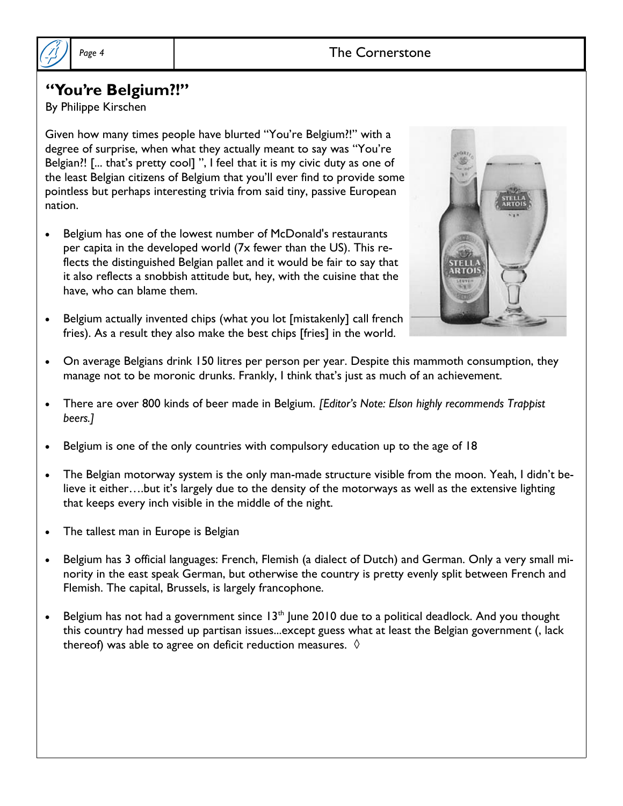

#### "You're Belgium?!"

By Philippe Kirschen

Given how many times people have blurted "You're Belgium!!" with a degree of surprise, when what they actually meant to say was "You're Belgian?! [... that's pretty cool] ", I feel that it is my civic duty as one of the least Belgian citizens of Belgium that you'll ever find to provide some pointless but perhaps interesting trivia from said tiny, passive European nation.

- Belgium has one of the lowest number of McDonald's restaurants per capita in the developed world (7x fewer than the US). This reflects the distinguished Belgian pallet and it would be fair to say that it also reflects a snobbish attitude but, hey, with the cuisine that the have, who can blame them.
- Belgium actually invented chips (what you lot [mistakenly] call french fries). As a result they also make the best chips [fries] in the world.



- On average Belgians drink 150 litres per person per year. Despite this mammoth consumption, they manage not to be moronic drunks. Frankly, I think that's just as much of an achievement.
- There are over 800 kinds of beer made in Belgium. *[Editor's Note: Elson highly recommends Trappist beers.]*
- Belgium is one of the only countries with compulsory education up to the age of 18
- The Belgian motorway system is the only man-made structure visible from the moon. Yeah, I didn't believe it either...but it's largely due to the density of the motorways as well as the extensive lighting that keeps every inch visible in the middle of the night.
- The tallest man in Europe is Belgian
- Belgium has 3 official languages: French, Flemish (a dialect of Dutch) and German. Only a very small minority in the east speak German, but otherwise the country is pretty evenly split between French and Flemish. The capital, Brussels, is largely francophone.
- Elgium has not had a government since  $13<sup>th</sup>$  June 2010 due to a political deadlock. And you thought this country had messed up partisan issues...except guess what at least the Belgian government (, lack thereof) was able to agree on deficit reduction measures.  $\Diamond$

Page 4 and 1 and 1 and 1 and 2 and 2 and 2 and 2 and 2 and 2 and 2 and 2 and 2 and 2 and 2 and 2 and 2 and 2 and 2 and 2 and 2 and 2 and 2 and 2 and 2 and 2 and 2 and 2 and 2 and 2 and 2 and 2 and 2 and 2 and 2 and 2 and 2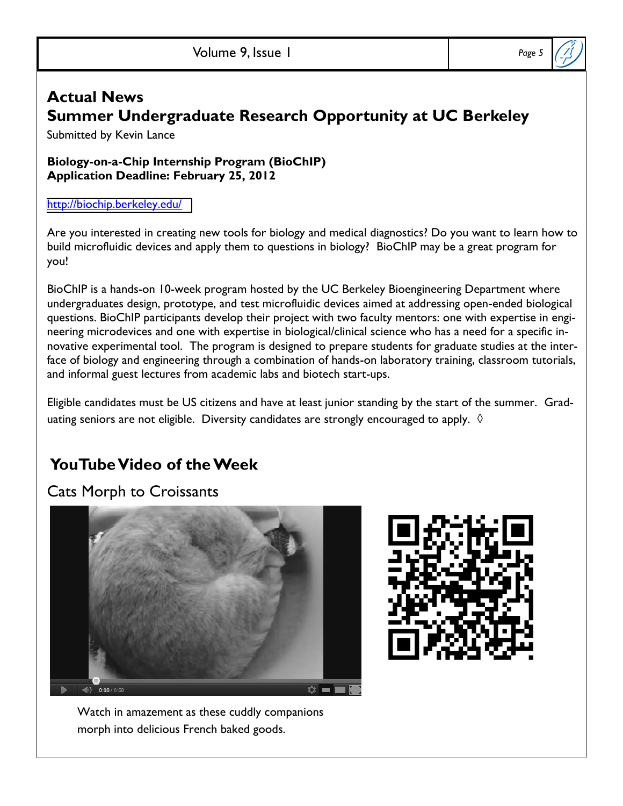## **Actual News Summer Undergraduate Research Opportunity at UC Berkeley**

Submitted by Kevin Lance

**Biology-on-a-Chip Internship Program (BioChIP) Application Deadline: February 25, 2012**

<http://biochip.berkeley.edu/>

Are you interested in creating new tools for biology and medical diagnostics? Do you want to learn how to build microfluidic devices and apply them to questions in biology? BioChIP may be a great program for you!

BioChIP is a hands-on 10-week program hosted by the UC Berkeley Bioengineering Department where undergraduates design, prototype, and test microfluidic devices aimed at addressing open-ended biological questions. BioChIP participants develop their project with two faculty mentors: one with expertise in engineering microdevices and one with expertise in biological/clinical science who has a need for a specific innovative experimental tool. The program is designed to prepare students for graduate studies at the interface of biology and engineering through a combination of hands-on laboratory training, classroom tutorials, and informal guest lectures from academic labs and biotech start-ups.

Eligible candidates must be US citizens and have at least junior standing by the start of the summer. Graduating seniors are not eligible. Diversity candidates are strongly encouraged to apply.  $\Diamond$ 

# **YouTube Video of the Week**

## Cats Morph to Croissants





Watch in amazement as these cuddly companions morph into delicious French baked goods.